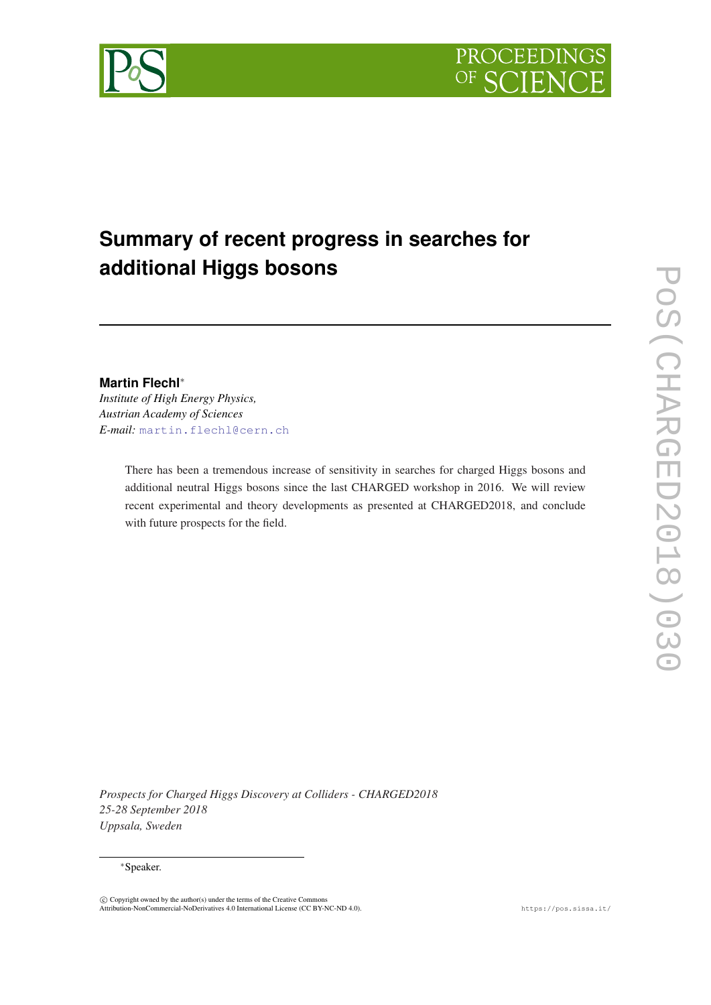

# **Summary of recent progress in searches for additional Higgs bosons**

# **Martin Flechl**<sup>∗</sup>

*Institute of High Energy Physics, Austrian Academy of Sciences E-mail:* [martin.flechl@cern.ch](mailto:martin.flechl@cern.ch)

> There has been a tremendous increase of sensitivity in searches for charged Higgs bosons and additional neutral Higgs bosons since the last CHARGED workshop in 2016. We will review recent experimental and theory developments as presented at CHARGED2018, and conclude with future prospects for the field.

*Prospects for Charged Higgs Discovery at Colliders - CHARGED2018 25-28 September 2018 Uppsala, Sweden*

### <sup>∗</sup>Speaker.

 $\circled{c}$  Copyright owned by the author(s) under the terms of the Creative Commons Attribution-NonCommercial-NoDerivatives 4.0 International License (CC BY-NC-ND 4.0). https://pos.sissa.it/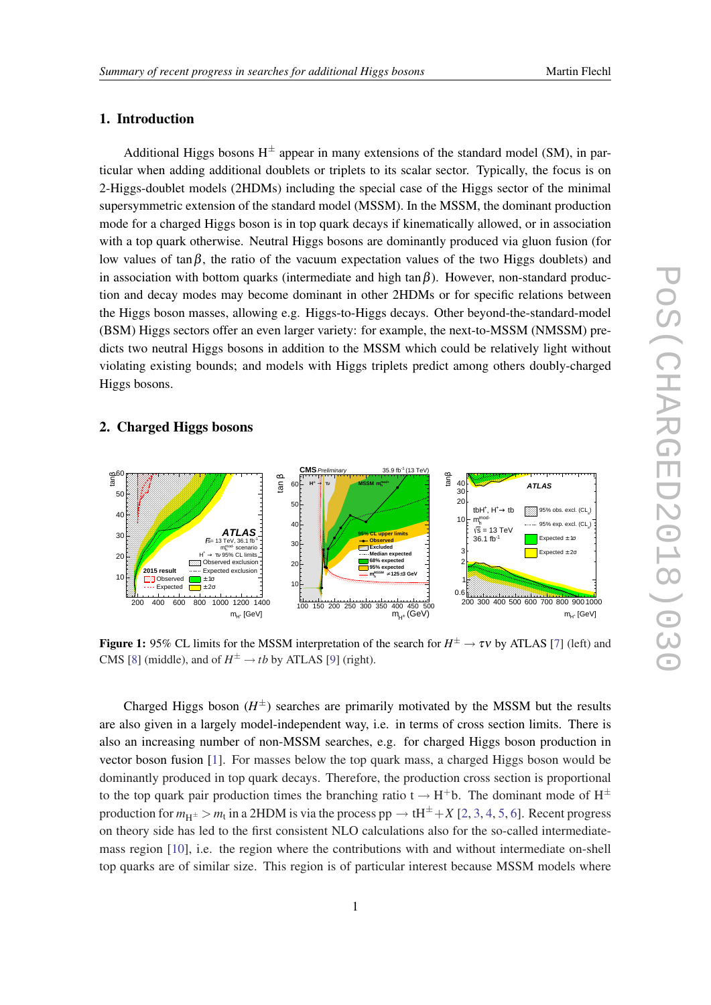# <span id="page-1-0"></span>1. Introduction

Additional Higgs bosons  $H^{\pm}$  appear in many extensions of the standard model (SM), in particular when adding additional doublets or triplets to its scalar sector. Typically, the focus is on 2-Higgs-doublet models (2HDMs) including the special case of the Higgs sector of the minimal supersymmetric extension of the standard model (MSSM). In the MSSM, the dominant production mode for a charged Higgs boson is in top quark decays if kinematically allowed, or in association with a top quark otherwise. Neutral Higgs bosons are dominantly produced via gluon fusion (for low values of  $\tan \beta$ , the ratio of the vacuum expectation values of the two Higgs doublets) and in association with bottom quarks (intermediate and high tan $\beta$ ). However, non-standard production and decay modes may become dominant in other 2HDMs or for specific relations between the Higgs boson masses, allowing e.g. Higgs-to-Higgs decays. Other beyond-the-standard-model (BSM) Higgs sectors offer an even larger variety: for example, the next-to-MSSM (NMSSM) predicts two neutral Higgs bosons in addition to the MSSM which could be relatively light without violating existing bounds; and models with Higgs triplets predict among others doubly-charged Higgs bosons.

## 2. Charged Higgs bosons



**Figure 1:** 95% CL limits for the MSSM interpretation of the search for  $H^{\pm} \to \tau \nu$  by ATLAS [\[7](#page-7-0)] (left) and CMS [\[8](#page-7-0)] (middle), and of  $H^{\pm} \rightarrow tb$  by ATLAS [\[9](#page-7-0)] (right).

Charged Higgs boson  $(H^{\pm})$  searches are primarily motivated by the MSSM but the results are also given in a largely model-independent way, i.e. in terms of cross section limits. There is also an increasing number of non-MSSM searches, e.g. for charged Higgs boson production in vector boson fusion [\[1\]](#page-6-0). For masses below the top quark mass, a charged Higgs boson would be dominantly produced in top quark decays. Therefore, the production cross section is proportional to the top quark pair production times the branching ratio  $t \rightarrow H^+b$ . The dominant mode of  $H^{\pm}$ production for  $m_{H^{\pm}} > m_t$  in a 2HDM is via the process pp  $\to$  tH<sup> $\pm$ </sup> + X [\[2,](#page-6-0) [3](#page-7-0), [4](#page-7-0), [5,](#page-7-0) [6](#page-7-0)]. Recent progress on theory side has led to the first consistent NLO calculations also for the so-called intermediatemass region [[10](#page-7-0)], i.e. the region where the contributions with and without intermediate on-shell top quarks are of similar size. This region is of particular interest because MSSM models where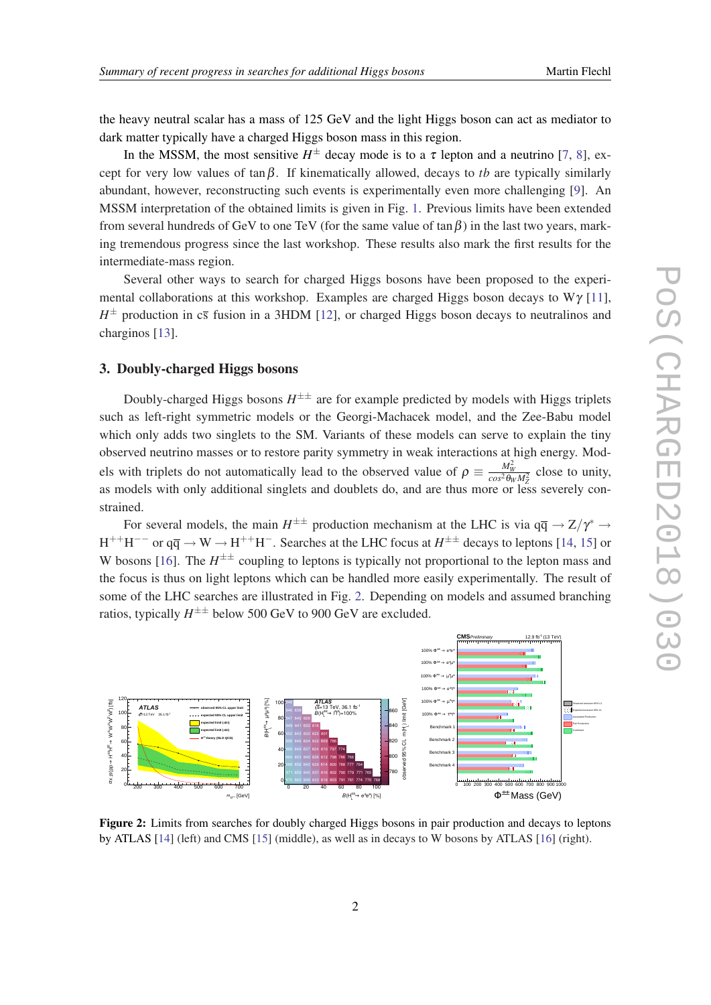the heavy neutral scalar has a mass of 125 GeV and the light Higgs boson can act as mediator to dark matter typically have a charged Higgs boson mass in this region.

In the MSSM, the most sensitive  $H^{\pm}$  decay mode is to a  $\tau$  lepton and a neutrino [\[7](#page-7-0), [8](#page-7-0)], except for very low values of  $\tan \beta$ . If kinematically allowed, decays to *tb* are typically similarly abundant, however, reconstructing such events is experimentally even more challenging [[9](#page-7-0)]. An MSSM interpretation of the obtained limits is given in Fig. [1](#page-1-0). Previous limits have been extended from several hundreds of GeV to one TeV (for the same value of  $\tan \beta$ ) in the last two years, marking tremendous progress since the last workshop. These results also mark the first results for the intermediate-mass region.

Several other ways to search for charged Higgs bosons have been proposed to the experimental collaborations at this workshop. Examples are charged Higgs boson decays to  $W\gamma$  [[11\]](#page-7-0),  $H^{\pm}$  production in  $c\bar{s}$  fusion in a 3HDM [\[12\]](#page-7-0), or charged Higgs boson decays to neutralinos and charginos [[13\]](#page-7-0).

### 3. Doubly-charged Higgs bosons

Doubly-charged Higgs bosons  $H^{\pm\pm}$  are for example predicted by models with Higgs triplets such as left-right symmetric models or the Georgi-Machacek model, and the Zee-Babu model which only adds two singlets to the SM. Variants of these models can serve to explain the tiny observed neutrino masses or to restore parity symmetry in weak interactions at high energy. Models with triplets do not automatically lead to the observed value of  $\rho \equiv \frac{M_W^2}{\cos^2 \theta_W M_Z^2}$  close to unity, as models with only additional singlets and doublets do, and are thus more or less severely constrained.

For several models, the main  $H^{\pm\pm}$  production mechanism at the LHC is via  $q\bar{q} \to Z/\gamma^* \to$  $H^{++}H^{--}$  or  $q\overline{q} \to W \to H^{++}H^-$ . Searches at the LHC focus at  $H^{\pm\pm}$  decays to leptons [\[14](#page-7-0), [15\]](#page-7-0) or W bosons [[16\]](#page-7-0). The  $H^{\pm\pm}$  coupling to leptons is typically not proportional to the lepton mass and the focus is thus on light leptons which can be handled more easily experimentally. The result of some of the LHC searches are illustrated in Fig. 2. Depending on models and assumed branching ratios, typically  $H^{\pm\pm}$  below 500 GeV to 900 GeV are excluded.



Figure 2: Limits from searches for doubly charged Higgs bosons in pair production and decays to leptons by ATLAS [[14\]](#page-7-0) (left) and CMS [\[15](#page-7-0)] (middle), as well as in decays to W bosons by ATLAS [\[16](#page-7-0)] (right).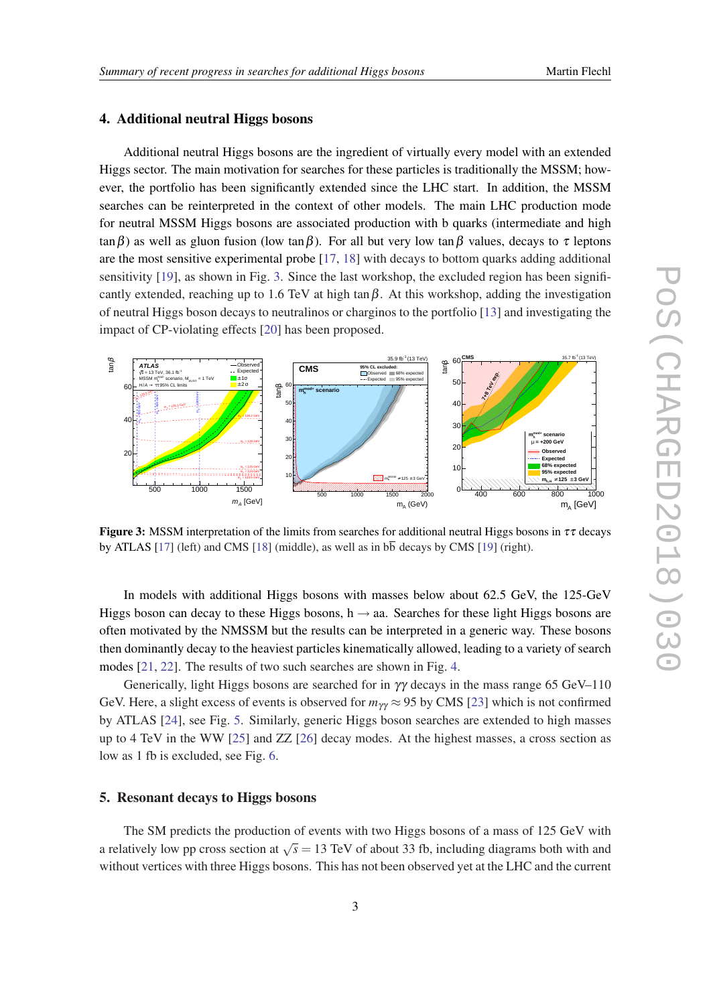### 4. Additional neutral Higgs bosons

Additional neutral Higgs bosons are the ingredient of virtually every model with an extended Higgs sector. The main motivation for searches for these particles is traditionally the MSSM; however, the portfolio has been significantly extended since the LHC start. In addition, the MSSM searches can be reinterpreted in the context of other models. The main LHC production mode for neutral MSSM Higgs bosons are associated production with b quarks (intermediate and high  $\tan \beta$ ) as well as gluon fusion (low  $\tan \beta$ ). For all but very low  $\tan \beta$  values, decays to  $\tau$  leptons are the most sensitive experimental probe [[17,](#page-7-0) [18](#page-7-0)] with decays to bottom quarks adding additional sensitivity [\[19](#page-7-0)], as shown in Fig. 3. Since the last workshop, the excluded region has been significantly extended, reaching up to 1.6 TeV at high tan $\beta$ . At this workshop, adding the investigation of neutral Higgs boson decays to neutralinos or charginos to the portfolio [\[13](#page-7-0)] and investigating the impact of CP-violating effects [\[20](#page-7-0)] has been proposed.



**Figure 3:** MSSM interpretation of the limits from searches for additional neutral Higgs bosons in  $\tau\tau$  decays by ATLAS [[17\]](#page-7-0) (left) and CMS [\[18](#page-7-0)] (middle), as well as in  $b\overline{b}$  decays by CMS [\[19](#page-7-0)] (right).

In models with additional Higgs bosons with masses below about 62.5 GeV, the 125-GeV Higgs boson can decay to these Higgs bosons,  $h \rightarrow aa$ . Searches for these light Higgs bosons are often motivated by the NMSSM but the results can be interpreted in a generic way. These bosons then dominantly decay to the heaviest particles kinematically allowed, leading to a variety of search modes [\[21](#page-7-0), [22](#page-8-0)]. The results of two such searches are shown in Fig. [4.](#page-4-0)

Generically, light Higgs bosons are searched for in  $\gamma\gamma$  decays in the mass range 65 GeV–110 GeV. Here, a slight excess of events is observed for  $m_{\gamma\gamma} \approx 95$  by CMS [[23\]](#page-8-0) which is not confirmed by ATLAS [\[24\]](#page-8-0), see Fig. [5](#page-4-0). Similarly, generic Higgs boson searches are extended to high masses up to 4 TeV in the WW [[25\]](#page-8-0) and ZZ [\[26](#page-8-0)] decay modes. At the highest masses, a cross section as low as 1 fb is excluded, see Fig. [6.](#page-5-0)

### 5. Resonant decays to Higgs bosons

The SM predicts the production of events with two Higgs bosons of a mass of 125 GeV with a relatively low pp cross section at  $\sqrt{s} = 13$  TeV of about 33 fb, including diagrams both with and without vertices with three Higgs bosons. This has not been observed yet at the LHC and the current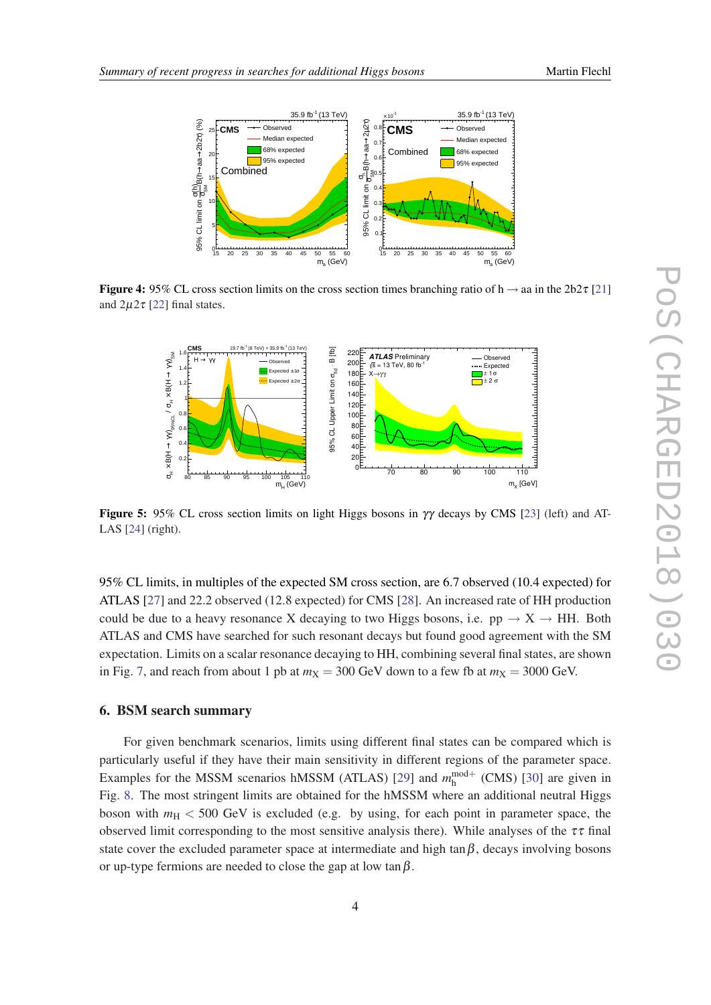

<span id="page-4-0"></span>

Figure 4: 95% CL cross section limits on the cross section times branching ratio of h  $\rightarrow$  aa in the 2b2 $\tau$  [[21\]](#page-7-0) and  $2\mu 2\tau$  [\[22\]](#page-8-0) final states.



**Figure 5:** 95% CL cross section limits on light Higgs bosons in  $\gamma\gamma$  decays by CMS [\[23](#page-8-0)] (left) and AT-LAS [[24\]](#page-8-0) (right).

95% CL limits, in multiples of the expected SM cross section, are 6.7 observed (10.4 expected) for ATLAS [\[27](#page-8-0)] and 22.2 observed (12.8 expected) for CMS [\[28\]](#page-8-0). An increased rate of HH production could be due to a heavy resonance X decaying to two Higgs bosons, i.e.  $pp \rightarrow X \rightarrow HH$ . Both ATLAS and CMS have searched for such resonant decays but found good agreement with the SM expectation. Limits on a scalar resonance decaying to HH, combining several final states, are shown in Fig. [7](#page-5-0), and reach from about 1 pb at  $m<sub>X</sub> = 300$  GeV down to a few fb at  $m<sub>X</sub> = 3000$  GeV.

# 6. BSM search summary

For given benchmark scenarios, limits using different final states can be compared which is particularly useful if they have their main sensitivity in different regions of the parameter space. Examples for the MSSM scenarios hMSSM (ATLAS) [[29](#page-8-0)] and  $m_h^{\text{mod}+}$  (CMS) [[30](#page-8-0)] are given in Fig. [8](#page-6-0). The most stringent limits are obtained for the hMSSM where an additional neutral Higgs boson with *m*<sup>H</sup> < 500 GeV is excluded (e.g. by using, for each point in parameter space, the observed limit corresponding to the most sensitive analysis there). While analyses of the  $\tau\tau$  final state cover the excluded parameter space at intermediate and high tan $\beta$ , decays involving bosons or up-type fermions are needed to close the gap at low  $\tan \beta$ .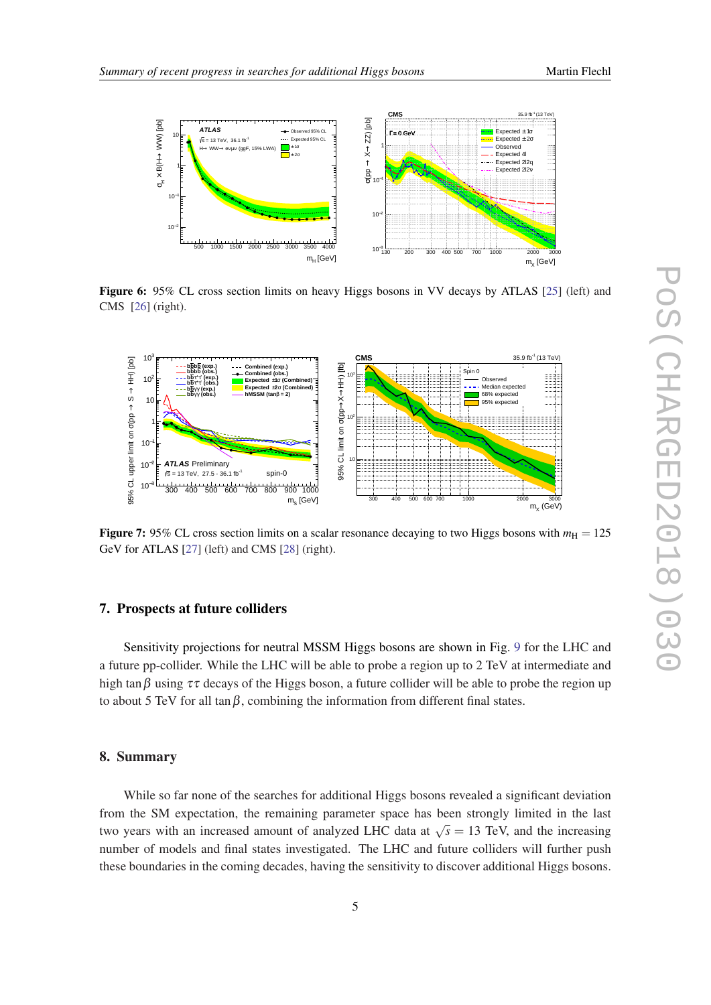<span id="page-5-0"></span>

Figure 6: 95% CL cross section limits on heavy Higgs bosons in VV decays by ATLAS [\[25](#page-8-0)] (left) and CMS [[26\]](#page-8-0) (right).



**Figure 7:** 95% CL cross section limits on a scalar resonance decaying to two Higgs bosons with  $m<sub>H</sub> = 125$ GeV for ATLAS [[27\]](#page-8-0) (left) and CMS [\[28](#page-8-0)] (right).

# 7. Prospects at future colliders

Sensitivity projections for neutral MSSM Higgs bosons are shown in Fig. [9](#page-6-0) for the LHC and a future pp-collider. While the LHC will be able to probe a region up to 2 TeV at intermediate and high tan β using  $\tau\tau$  decays of the Higgs boson, a future collider will be able to probe the region up to about 5 TeV for all tan  $\beta$ , combining the information from different final states.

### 8. Summary

While so far none of the searches for additional Higgs bosons revealed a significant deviation from the SM expectation, the remaining parameter space has been strongly limited in the last two years with an increased amount of analyzed LHC data at  $\sqrt{s} = 13$  TeV, and the increasing number of models and final states investigated. The LHC and future colliders will further push these boundaries in the coming decades, having the sensitivity to discover additional Higgs bosons.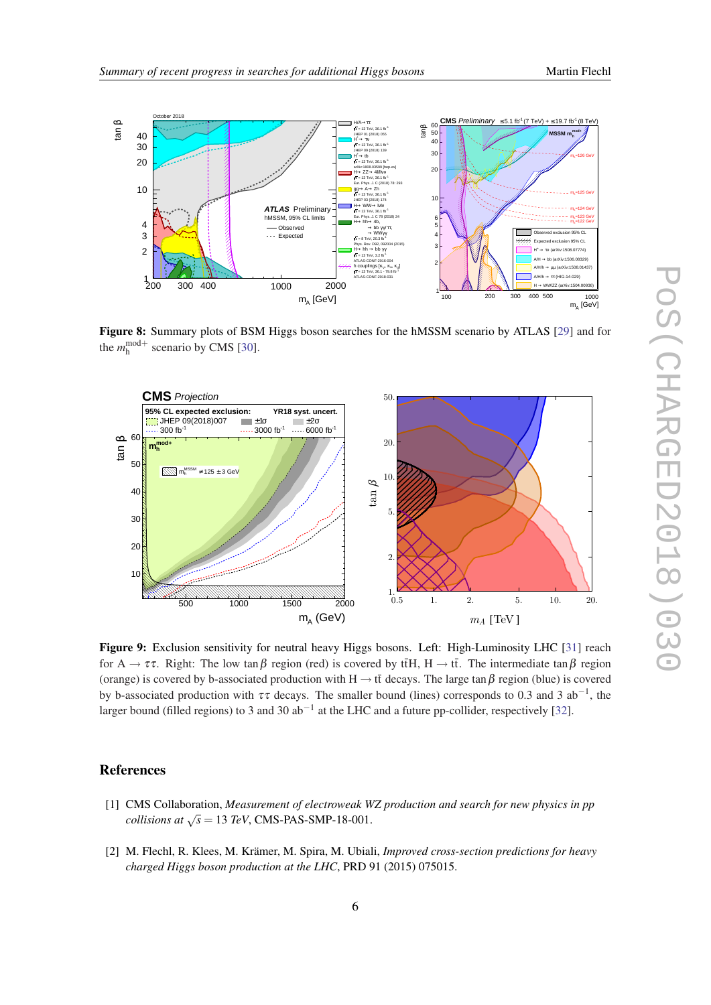<span id="page-6-0"></span>

Figure 8: Summary plots of BSM Higgs boson searches for the hMSSM scenario by ATLAS [[29\]](#page-8-0) and for the  $m_h^{\text{mod}+}$  scenario by CMS [\[30\]](#page-8-0).



Figure 9: Exclusion sensitivity for neutral heavy Higgs bosons. Left: High-Luminosity LHC [[31\]](#page-8-0) reach for  $A \to \tau \tau$ . Right: The low tan  $\beta$  region (red) is covered by tthe H  $\to$  tt. The intermediate tan  $\beta$  region (orange) is covered by b-associated production with H  $\rightarrow$  tt decays. The large tan  $\beta$  region (blue) is covered by b-associated production with  $\tau\tau$  decays. The smaller bound (lines) corresponds to 0.3 and 3 ab<sup>-1</sup>, the larger bound (filled regions) to 3 and 30 ab<sup>-1</sup> at the LHC and a future pp-collider, respectively [\[32](#page-8-0)].

# References

- [1] CMS Collaboration, *Measurement of electroweak WZ production and search for new physics in pp collisions at*  $\sqrt{s}$  = 13 *TeV*, CMS-PAS-SMP-18-001.
- [2] M. Flechl, R. Klees, M. Krämer, M. Spira, M. Ubiali, *Improved cross-section predictions for heavy charged Higgs boson production at the LHC*, PRD 91 (2015) 075015.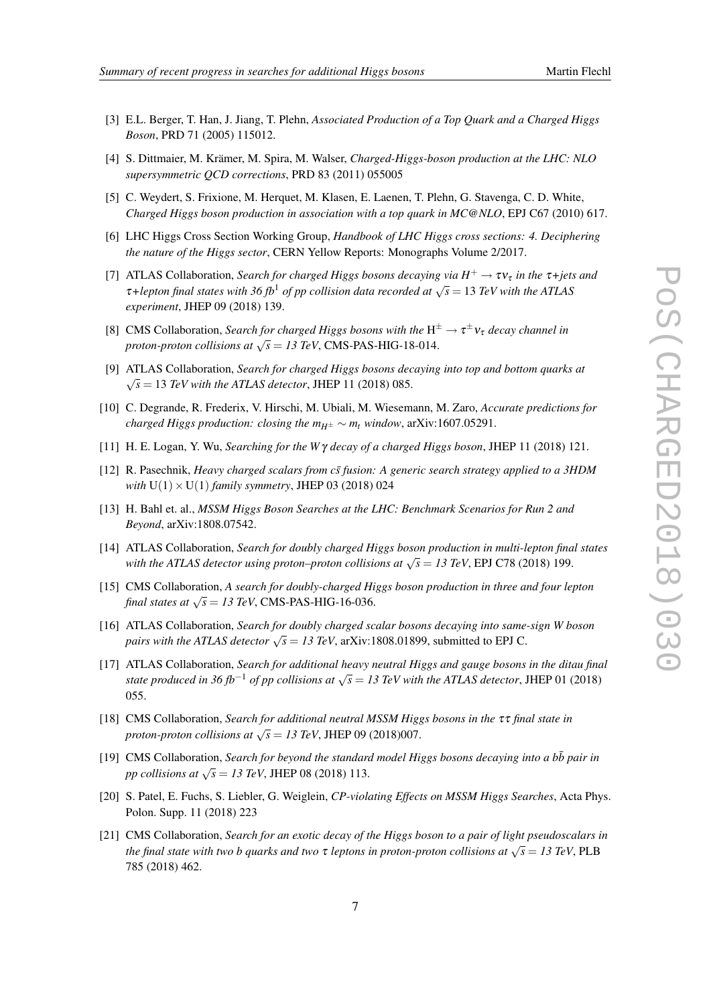- <span id="page-7-0"></span>[3] E.L. Berger, T. Han, J. Jiang, T. Plehn, *Associated Production of a Top Quark and a Charged Higgs Boson*, PRD 71 (2005) 115012.
- [4] S. Dittmaier, M. Krämer, M. Spira, M. Walser, *Charged-Higgs-boson production at the LHC: NLO supersymmetric QCD corrections*, PRD 83 (2011) 055005
- [5] C. Weydert, S. Frixione, M. Herquet, M. Klasen, E. Laenen, T. Plehn, G. Stavenga, C. D. White, *Charged Higgs boson production in association with a top quark in MC@NLO*, EPJ C67 (2010) 617.
- [6] LHC Higgs Cross Section Working Group, *Handbook of LHC Higgs cross sections: 4. Deciphering the nature of the Higgs sector*, CERN Yellow Reports: Monographs Volume 2/2017.
- [7] ATLAS Collaboration, *Search for charged Higgs bosons decaying via*  $H^+ \to \tau v_{\tau}$  *in the*  $\tau$ +*jets and T*+lepton final states with 36 fb<sup>1</sup> of pp collision data recorded at  $\sqrt{s}$  = 13 *TeV with the ATLAS experiment*, JHEP 09 (2018) 139.
- [8] CMS Collaboration, *Search for charged Higgs bosons with the*  $H^{\pm} \to \tau^{\pm} \nu_{\tau}$  *decay channel in proton-proton collisions at*  $\sqrt{s} = 13 \text{ TeV}$ , CMS-PAS-HIG-18-014.
- [9] ATLAS Collaboration, *Search for charged Higgs bosons decaying into top and bottom quarks at*  $\sqrt{s}$  = 13 *TeV with the ATLAS detector*, JHEP 11 (2018) 085.
- [10] C. Degrande, R. Frederix, V. Hirschi, M. Ubiali, M. Wiesemann, M. Zaro, *Accurate predictions for charged Higgs production: closing the*  $m_{H^{\pm}} \sim m_t$  *window, arXiv:1607.05291.*
- [11] H. E. Logan, Y. Wu, *Searching for the W* γ *decay of a charged Higgs boson*, JHEP 11 (2018) 121.
- [12] R. Pasechnik, *Heavy charged scalars from cs* fusion: A generic search strategy applied to a 3HDM *with*  $U(1) \times U(1)$  *family symmetry*, JHEP 03 (2018) 024
- [13] H. Bahl et. al., *MSSM Higgs Boson Searches at the LHC: Benchmark Scenarios for Run 2 and Beyond*, arXiv:1808.07542.
- [14] ATLAS Collaboration, *Search for doubly charged Higgs boson production in multi-lepton final states with the ATLAS detector using proton–proton collisions at* <sup>√</sup> *s* = *13 TeV*, EPJ C78 (2018) 199.
- [15] CMS Collaboration, *A search for doubly-charged Higgs boson production in three and four lepton*  $f_{final}$  states at  $\sqrt{s} = 13$  TeV, CMS-PAS-HIG-16-036.
- [16] ATLAS Collaboration, *Search for doubly charged scalar bosons decaying into same-sign W boson pairs with the ATLAS detector*  $\sqrt{s} = 13$  TeV, arXiv:1808.01899, submitted to EPJ C.
- [17] ATLAS Collaboration, *Search for additional heavy neutral Higgs and gauge bosons in the ditau final state produced in 36 fb<sup>-1</sup> of pp collisions at*  $\sqrt{s} = 13$  *TeV with the ATLAS detector*, JHEP 01 (2018) 055.
- [18] CMS Collaboration, *Search for additional neutral MSSM Higgs bosons in the* ττ *final state in proton-proton collisions at*  $\sqrt{s} = 13$  TeV, JHEP 09 (2018)007.
- [19] CMS Collaboration, *Search for beyond the standard model Higgs bosons decaying into a bb pair in pp collisions at*  $\sqrt{s} = 13$  TeV, JHEP 08 (2018) 113.
- [20] S. Patel, E. Fuchs, S. Liebler, G. Weiglein, *CP-violating Effects on MSSM Higgs Searches*, Acta Phys. Polon. Supp. 11 (2018) 223
- [21] CMS Collaboration, *Search for an exotic decay of the Higgs boson to a pair of light pseudoscalars in the final state with two b quarks and two* <sup>τ</sup> *leptons in proton-proton collisions at* <sup>√</sup> *s* = *13 TeV*, PLB 785 (2018) 462.